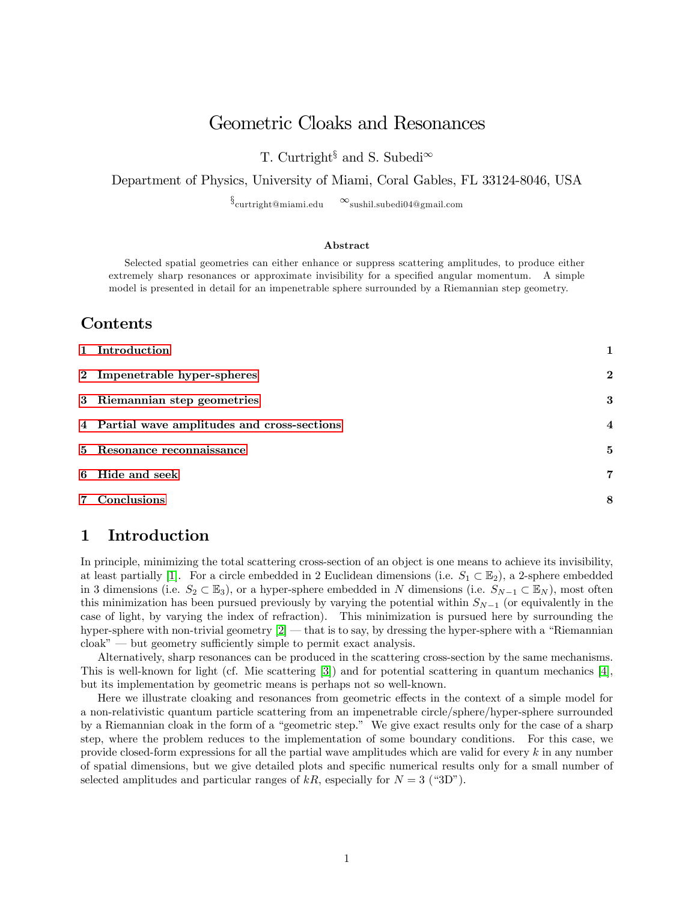# Geometric Cloaks and Resonances

T. Curtright<sup>§</sup> and S. Subedi<sup> $\infty$ </sup>

#### Department of Physics, University of Miami, Coral Gables, FL 33124-8046, USA

 $\S_{\text{current}$ ight@miami.edu  $\infty$ sushil.subedi04@gmail.com

#### Abstract

Selected spatial geometries can either enhance or suppress scattering amplitudes, to produce either extremely sharp resonances or approximate invisibility for a specified angular momentum. A simple model is presented in detail for an impenetrable sphere surrounded by a Riemannian step geometry.

### Contents

| 1 Introduction                               | 1              |
|----------------------------------------------|----------------|
| 2 Impenetrable hyper-spheres                 | $\overline{2}$ |
| 3 Riemannian step geometries                 | 3              |
| 4 Partial wave amplitudes and cross-sections | $\overline{4}$ |
| 5 Resonance reconnaissance                   | 5              |
| 6 Hide and seek                              | 7              |
| 7 Conclusions                                | 8              |

## <span id="page-0-0"></span>1 Introduction

In principle, minimizing the total scattering cross-section of an object is one means to achieve its invisibility, at least partially [\[1\]](#page-9-0). For a circle embedded in 2 Euclidean dimensions (i.e.  $S_1 \subset \mathbb{E}_2$ ), a 2-sphere embedded in 3 dimensions (i.e.  $S_2 \subset \mathbb{E}_3$ ), or a hyper-sphere embedded in N dimensions (i.e.  $S_{N-1} \subset \mathbb{E}_N$ ), most often this minimization has been pursued previously by varying the potential within  $S_{N-1}$  (or equivalently in the case of light, by varying the index of refraction). This minimization is pursued here by surrounding the hyper-sphere with non-trivial geometry  $[2]$  that is to say, by dressing the hyper-sphere with a "Riemannian"  $\text{cloak}^n$  — but geometry sufficiently simple to permit exact analysis.

Alternatively, sharp resonances can be produced in the scattering cross-section by the same mechanisms. This is well-known for light (cf. Mie scattering [\[3\]](#page-9-2)) and for potential scattering in quantum mechanics [\[4\]](#page-9-3), but its implementation by geometric means is perhaps not so well-known.

Here we illustrate cloaking and resonances from geometric effects in the context of a simple model for a non-relativistic quantum particle scattering from an impenetrable circle/sphere/hyper-sphere surrounded by a Riemannian cloak in the form of a "geometric step." We give exact results only for the case of a sharp step, where the problem reduces to the implementation of some boundary conditions. For this case, we provide closed-form expressions for all the partial wave amplitudes which are valid for every k in any number of spatial dimensions, but we give detailed plots and specific numerical results only for a small number of selected amplitudes and particular ranges of  $kR$ , especially for  $N = 3$  ("3D").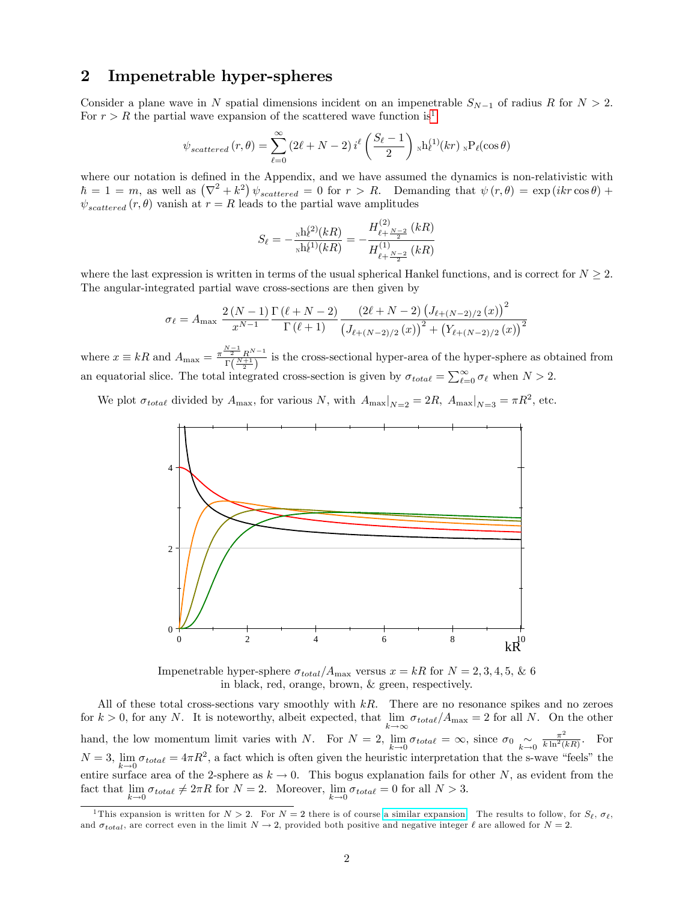#### <span id="page-1-0"></span>2 Impenetrable hyper-spheres

Consider a plane wave in N spatial dimensions incident on an impenetrable  $S_{N-1}$  of radius R for  $N > 2$ . For  $r > R$  the partial wave expansion of the scattered wave function is<sup>[1](#page-1-1)</sup>

$$
\psi_{scattered}(r,\theta) = \sum_{\ell=0}^{\infty} (2\ell+N-2) i^{\ell} \left(\frac{S_{\ell}-1}{2}\right) \mathrm{N} h_{\ell}^{(1)}(kr) \mathrm{N} P_{\ell}(\cos\theta)
$$

where our notation is defined in the Appendix, and we have assumed the dynamics is non-relativistic with  $\hbar = 1 = m$ , as well as  $(\nabla^2 + k^2) \psi_{scattered} = 0$  for  $r > R$ . Demanding that  $\psi(r, \theta) = \exp(ikr \cos \theta) +$  $\psi_{scattered}(r, \theta)$  vanish at  $r = R$  leads to the partial wave amplitudes

$$
S_{\ell} = -\frac{\text{sh}_{\ell}^{(2)}(kR)}{\text{sh}_{\ell}^{(1)}(kR)} = -\frac{H_{\ell + \frac{N-2}{2}}^{(2)}(kR)}{H_{\ell + \frac{N-2}{2}}^{(1)}(kR)}
$$

where the last expression is written in terms of the usual spherical Hankel functions, and is correct for  $N \geq 2$ . The angular-integrated partial wave cross-sections are then given by

$$
\sigma_{\ell} = A_{\max} \frac{2(N-1)}{x^{N-1}} \frac{\Gamma(\ell+N-2)}{\Gamma(\ell+1)} \frac{(2\ell+N-2) (J_{\ell+(N-2)/2}(x))^2}{(J_{\ell+(N-2)/2}(x))^2 + (Y_{\ell+(N-2)/2}(x))^2}
$$

where  $x \equiv kR$  and  $A_{\text{max}} = \frac{\pi^{\frac{N-1}{2}} R^{N-1}}{\Gamma(\frac{N+1}{2})}$  $\frac{2}{\Gamma(\frac{N+1}{2})}$  is the cross-sectional hyper-area of the hyper-sphere as obtained from an equatorial slice. The total integrated cross-section is given by  $\sigma_{total} = \sum_{\ell=0}^{\infty} \sigma_{\ell}$  when  $N > 2$ .

We plot  $\sigma_{total}$  divided by  $A_{\text{max}}$ , for various N, with  $A_{\text{max}}|_{N=2} = 2R$ ,  $A_{\text{max}}|_{N=3} = \pi R^2$ , etc.



Impenetrable hyper-sphere  $\sigma_{total}/A_{\text{max}}$  versus  $x = kR$  for  $N = 2, 3, 4, 5, \& 6$ in black, red, orange, brown, & green, respectively.

All of these total cross-sections vary smoothly with  $kR$ . There are no resonance spikes and no zeroes for  $k > 0$ , for any N. It is noteworthy, albeit expected, that  $\lim_{k \to \infty} \sigma_{total}/A_{\max} = 2$  for all N. On the other  $k \rightarrow \infty$ hand, the low momentum limit varies with N. For  $N = 2$ ,  $\lim_{k \to 0} \sigma_{total} = \infty$ , since  $\sigma_0 \sim_{k \to 0} \frac{\pi^2}{k \ln^2(k+1)}$  $N = 3$ ,  $\lim_{k \to 0} \sigma_{total} = 4\pi R^2$ , a fact which is often given the heuristic interpretation that the s-v  $\frac{\pi^2}{k \ln^2(kR)}$ . For  $\lim_{k \to 0} \sigma_{total} = 4\pi R^2$ , a fact which is often given the heuristic interpretation that the s-wave "feels" the entire surface area of the 2-sphere as  $k \to 0$ . This bogus explanation fails for other N, as evident from the fact that lim  $\lim_{k \to 0} \sigma_{total} \neq 2\pi R$  for  $N = 2$ . Moreover,  $\lim_{k \to 0} \sigma_{total} = 0$  for all  $N > 3$ .

<span id="page-1-1"></span><sup>&</sup>lt;sup>1</sup>This expansion is written for  $N > 2$ . For  $N = 2$  there is of course [a similar expansion.](https://en.wikipedia.org/wiki/Jacobi-Anger_expansion) The results to follow, for  $S_{\ell}$ ,  $\sigma_{\ell}$ , and  $\sigma_{total}$ , are correct even in the limit  $N \rightarrow 2$ , provided both positive and negative integer  $\ell$  are allowed for  $N = 2$ .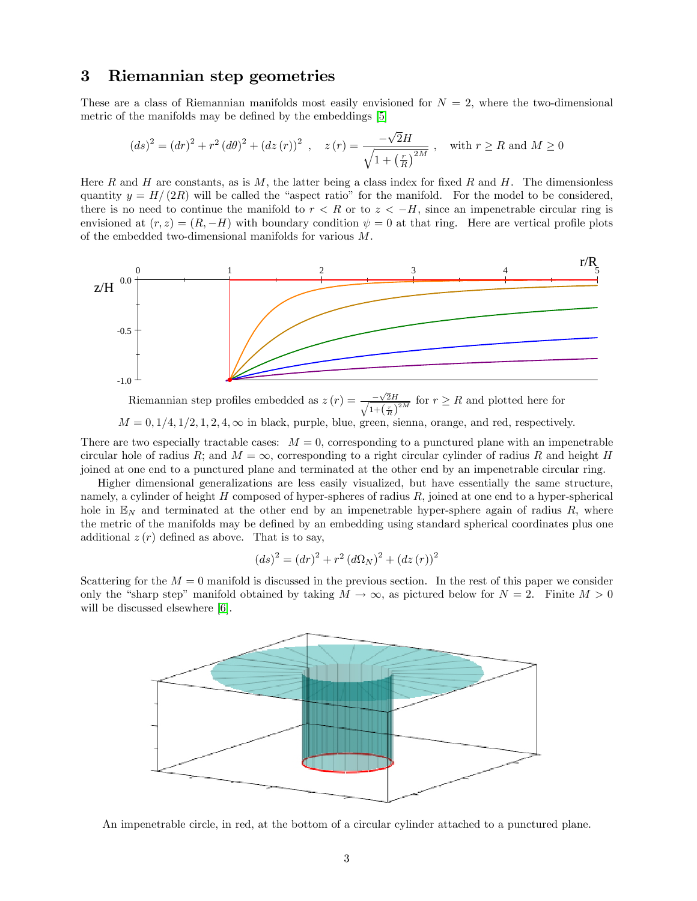#### <span id="page-2-0"></span>3 Riemannian step geometries

These are a class of Riemannian manifolds most easily envisioned for  $N = 2$ , where the two-dimensional metric of the manifolds may be defined by the embeddings [\[5\]](#page-9-4)

$$
(ds)^{2} = (dr)^{2} + r^{2} (d\theta)^{2} + (dz(r))^{2} , \quad z(r) = \frac{-\sqrt{2}H}{\sqrt{1 + \left(\frac{r}{R}\right)^{2M}}}, \quad \text{with } r \ge R \text{ and } M \ge 0
$$

Here R and H are constants, as is M, the latter being a class index for fixed R and H. The dimensionless quantity  $y = H/(2R)$  will be called the "aspect ratio" for the manifold. For the model to be considered, there is no need to continue the manifold to  $r < R$  or to  $z < -H$ , since an impenetrable circular ring is envisioned at  $(r, z) = (R, -H)$  with boundary condition  $\psi = 0$  at that ring. Here are vertical profile plots of the embedded two-dimensional manifolds for various M.



Riemannian step profiles embedded as  $z(r) = \frac{-\sqrt{r}}{\sqrt{r}}$  $\frac{-\sqrt{2H}}{\sqrt{2+(\sqrt{2H})}}$  $\frac{-\sqrt{2H}}{1+\left(\frac{r}{R}\right)^{2M}}$  for  $r \geq R$  and plotted here for  $M = 0, 1/4, 1/2, 1, 2, 4, \infty$  in black, purple, blue, green, sienna, orange, and red, respectively.

There are two especially tractable cases:  $M = 0$ , corresponding to a punctured plane with an impenetrable circular hole of radius R; and  $M = \infty$ , corresponding to a right circular cylinder of radius R and height H joined at one end to a punctured plane and terminated at the other end by an impenetrable circular ring.

Higher dimensional generalizations are less easily visualized, but have essentially the same structure, namely, a cylinder of height  $H$  composed of hyper-spheres of radius  $R$ , joined at one end to a hyper-spherical hole in  $\mathbb{E}_N$  and terminated at the other end by an impenetrable hyper-sphere again of radius R, where the metric of the manifolds may be defined by an embedding using standard spherical coordinates plus one additional  $z(r)$  defined as above. That is to say,

$$
(ds)^{2} = (dr)^{2} + r^{2} (d\Omega_{N})^{2} + (dz(r))^{2}
$$

Scattering for the  $M = 0$  manifold is discussed in the previous section. In the rest of this paper we consider only the "sharp step" manifold obtained by taking  $M \to \infty$ , as pictured below for  $N = 2$ . Finite  $M > 0$ will be discussed elsewhere [\[6\]](#page-9-5).



An impenetrable circle, in red, at the bottom of a circular cylinder attached to a punctured plane.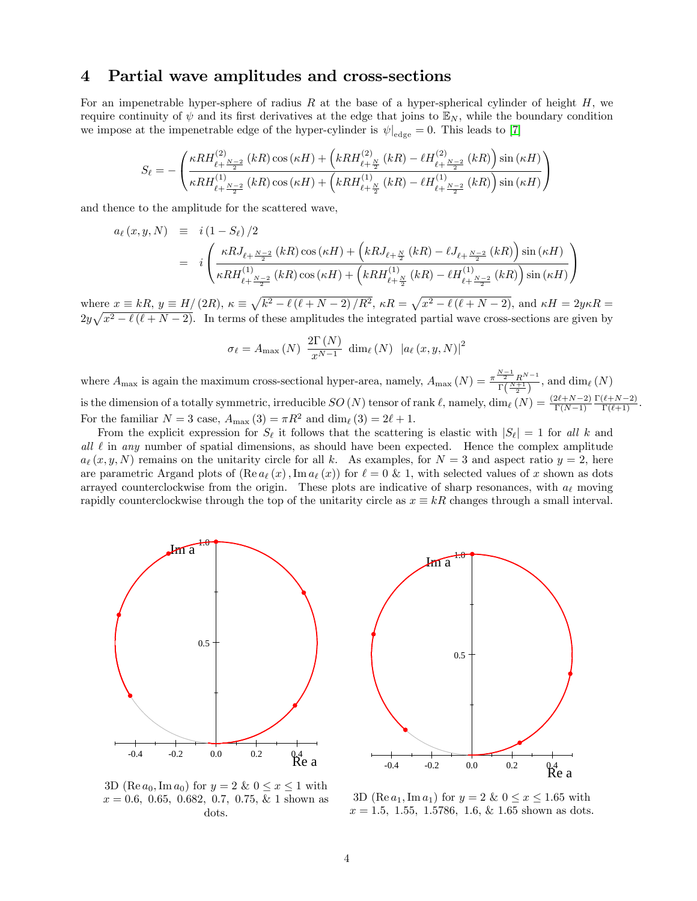#### <span id="page-3-0"></span>4 Partial wave amplitudes and cross-sections

For an impenetrable hyper-sphere of radius R at the base of a hyper-spherical cylinder of height  $H$ , we require continuity of  $\psi$  and its first derivatives at the edge that joins to  $\mathbb{E}_N$ , while the boundary condition we impose at the impenetrable edge of the hyper-cylinder is  $\psi|_{\text{edge}} = 0$ . This leads to [\[7\]](#page-9-6)

$$
S_{\ell}=-\left(\frac{\kappa RH_{\ell+\frac{N-2}{2}}^{(2)}\left(kR\right)\cos\left(\kappa H\right)+\left(kRH_{\ell+\frac{N}{2}}^{(2)}\left(kR\right)-\ell H_{\ell+\frac{N-2}{2}}^{(2)}\left(kR\right)\right)\sin\left(\kappa H\right)}{\kappa RH_{\ell+\frac{N-2}{2}}^{(1)}\left(kR\right)\cos\left(\kappa H\right)+\left(kRH_{\ell+\frac{N}{2}}^{(1)}\left(kR\right)-\ell H_{\ell+\frac{N-2}{2}}^{(1)}\left(kR\right)\right)\sin\left(\kappa H\right)}\right)
$$

and thence to the amplitude for the scattered wave,

$$
a_{\ell}(x, y, N) = i (1 - S_{\ell})/2
$$
  
= 
$$
i \left( \frac{\kappa R J_{\ell + \frac{N-2}{2}}(kR) \cos(\kappa H) + \left( kR J_{\ell + \frac{N}{2}}(kR) - \ell J_{\ell + \frac{N-2}{2}}(kR) \right) \sin(\kappa H)}{\kappa R H_{\ell + \frac{N-2}{2}}^{(1)}(kR) \cos(\kappa H) + \left( kR H_{\ell + \frac{N}{2}}^{(1)}(kR) - \ell H_{\ell + \frac{N-2}{2}}^{(1)}(kR) \right) \sin(\kappa H)} \right)
$$

where  $x \equiv kR$ ,  $y \equiv H/(2R)$ ,  $\kappa \equiv \sqrt{k^2 - \ell(\ell + N - 2)/R^2}$ ,  $\kappa R = \sqrt{x^2 - \ell(\ell + N - 2)}$ , and  $\kappa H = 2y\kappa R =$  $2y\sqrt{x^2-\ell(\ell+N-2)}$ . In terms of these amplitudes the integrated partial wave cross-sections are given by

$$
\sigma_{\ell} = A_{\max}(N) \frac{2\Gamma(N)}{x^{N-1}} \dim_{\ell}(N) |a_{\ell}(x, y, N)|^2
$$

where  $A_{\text{max}}$  is again the maximum cross-sectional hyper-area, namely,  $A_{\text{max}}(N) = \frac{\pi^{\frac{N-1}{2}} R^{N-1}}{\Gamma(N+1)}$  $\frac{2-R^{N-1}}{\Gamma(\frac{N+1}{2})}$ , and  $\dim_{\ell}(N)$ is the dimension of a totally symmetric, irreducible  $SO(N)$  tensor of rank  $\ell$ , namely, dim $\ell$   $(N) = \frac{(2\ell+N-2)}{\Gamma(N-1)}$  $\frac{\Gamma(\ell+N-2)}{\Gamma(\ell+1)}$ . For the familiar  $N = 3$  case,  $A_{\text{max}} (3) = \pi R^2$  and  $\dim_\ell (3) = 2\ell + 1$ .

From the explicit expression for  $S_\ell$  it follows that the scattering is elastic with  $|S_\ell| = 1$  for all k and all  $\ell$  in any number of spatial dimensions, as should have been expected. Hence the complex amplitude  $a_{\ell}(x, y, N)$  remains on the unitarity circle for all k. As examples, for  $N = 3$  and aspect ratio  $y = 2$ , here are parametric Argand plots of  $(\text{Re } a_\ell (x), \text{Im } a_\ell (x))$  for  $\ell = 0 \& 1$ , with selected values of x shown as dots arrayed counterclockwise from the origin. These plots are indicative of sharp resonances, with  $a_{\ell}$  moving rapidly counterclockwise through the top of the unitarity circle as  $x \equiv kR$  changes through a small interval.



 $R^{\rm 0.4}_{\rm Re\;a}$ 



3D (Re  $a_0$ , Im  $a_0$ ) for  $y = 2 \& 0 \le x \le 1$  with  $x = 0.6, 0.65, 0.682, 0.7, 0.75, \& 1$  shown as dots.

3D (Re  $a_1$ , Im  $a_1$ ) for  $y = 2 \& 0 \le x \le 1.65$  with  $x = 1.5, 1.55, 1.5786, 1.6, \& 1.65$  shown as dots.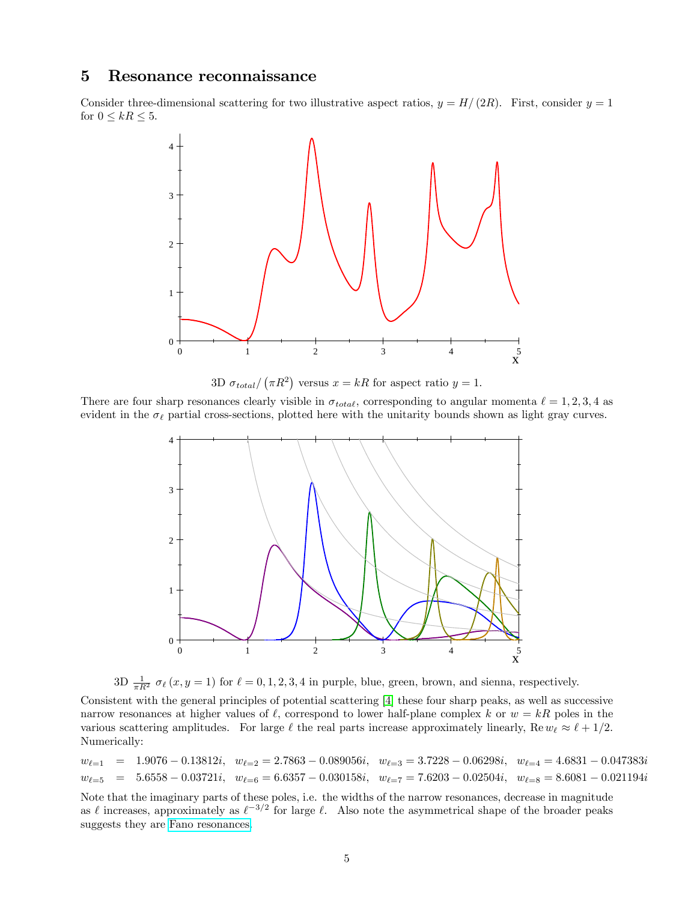#### <span id="page-4-0"></span>5 Resonance reconnaissance

Consider three-dimensional scattering for two illustrative aspect ratios,  $y = H/(2R)$ . First, consider  $y = 1$ for  $0 \leq kR \leq 5$ .



3D  $\sigma_{total}/(\pi R^2)$  versus  $x = kR$  for aspect ratio  $y = 1$ .

There are four sharp resonances clearly visible in  $\sigma_{total}$ , corresponding to angular momenta  $\ell = 1, 2, 3, 4$  as evident in the  $\sigma_{\ell}$  partial cross-sections, plotted here with the unitarity bounds shown as light gray curves.





Consistent with the general principles of potential scattering [\[4\]](#page-9-3) these four sharp peaks, as well as successive narrow resonances at higher values of  $\ell$ , correspond to lower half-plane complex k or  $w = kR$  poles in the various scattering amplitudes. For large  $\ell$  the real parts increase approximately linearly, Re  $w_{\ell} \approx \ell + 1/2$ . Numerically:

 $w_{\ell=1}$  = 1.9076 - 0.13812i,  $w_{\ell=2} = 2.7863 - 0.089056i$ ,  $w_{\ell=3} = 3.7228 - 0.06298i$ ,  $w_{\ell=4} = 4.6831 - 0.047383i$  $w_{\ell=5}$  = 5.6558 - 0.03721i;  $w_{\ell=6} = 6.6357 - 0.030158i$ ;  $w_{\ell=7} = 7.6203 - 0.02504i$ ;  $w_{\ell=8} = 8.6081 - 0.021194i$ 

Note that the imaginary parts of these poles, i.e. the widths of the narrow resonances, decrease in magnitude as  $\ell$  increases, approximately as  $\ell^{-3/2}$  for large  $\ell$ . Also note the asymmetrical shape of the broader peaks suggests they are [Fano resonances.](https://en.wikipedia.org/wiki/Fano_resonance)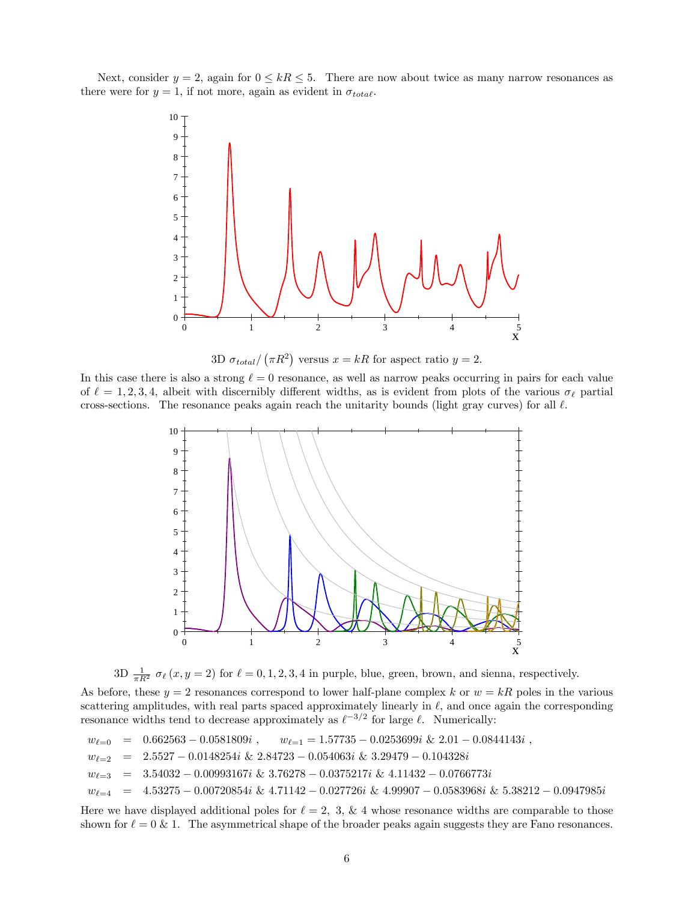Next, consider  $y = 2$ , again for  $0 \le kR \le 5$ . There are now about twice as many narrow resonances as there were for  $y = 1$ , if not more, again as evident in  $\sigma_{total}$ .



3D  $\sigma_{total}/(\pi R^2)$  versus  $x = kR$  for aspect ratio  $y = 2$ .

In this case there is also a strong  $\ell = 0$  resonance, as well as narrow peaks occurring in pairs for each value of  $\ell = 1, 2, 3, 4$ , albeit with discernibly different widths, as is evident from plots of the various  $\sigma_{\ell}$  partial cross-sections. The resonance peaks again reach the unitarity bounds (light gray curves) for all  $\ell$ .



3D  $\frac{1}{\pi R^2} \sigma_\ell(x, y = 2)$  for  $\ell = 0, 1, 2, 3, 4$  in purple, blue, green, brown, and sienna, respectively.

As before, these  $y = 2$  resonances correspond to lower half-plane complex k or  $w = kR$  poles in the various scattering amplitudes, with real parts spaced approximately linearly in  $\ell$ , and once again the corresponding resonance widths tend to decrease approximately as  $\ell^{-3/2}$  for large  $\ell$ . Numerically:

$$
w_{\ell=0} = 0.662563 - 0.0581809i, \qquad w_{\ell=1} = 1.57735 - 0.0253699i \& 2.01 - 0.0844143i,
$$
  
\n
$$
w_{\ell=2} = 2.5527 - 0.0148254i \& 2.84723 - 0.054063i \& 3.29479 - 0.104328i
$$
  
\n
$$
w_{\ell=3} = 3.54032 - 0.00993167i \& 3.76278 - 0.0375217i \& 4.11432 - 0.0766773i
$$
  
\n
$$
w_{\ell=4} = 4.53275 - 0.00720854i \& 4.71142 - 0.027726i \& 4.99907 - 0.0583968i \& 5.38212 - 0.0947985i
$$

Here we have displayed additional poles for  $\ell = 2, 3, \& 4$  whose resonance widths are comparable to those shown for  $\ell = 0 \& 1$ . The asymmetrical shape of the broader peaks again suggests they are Fano resonances.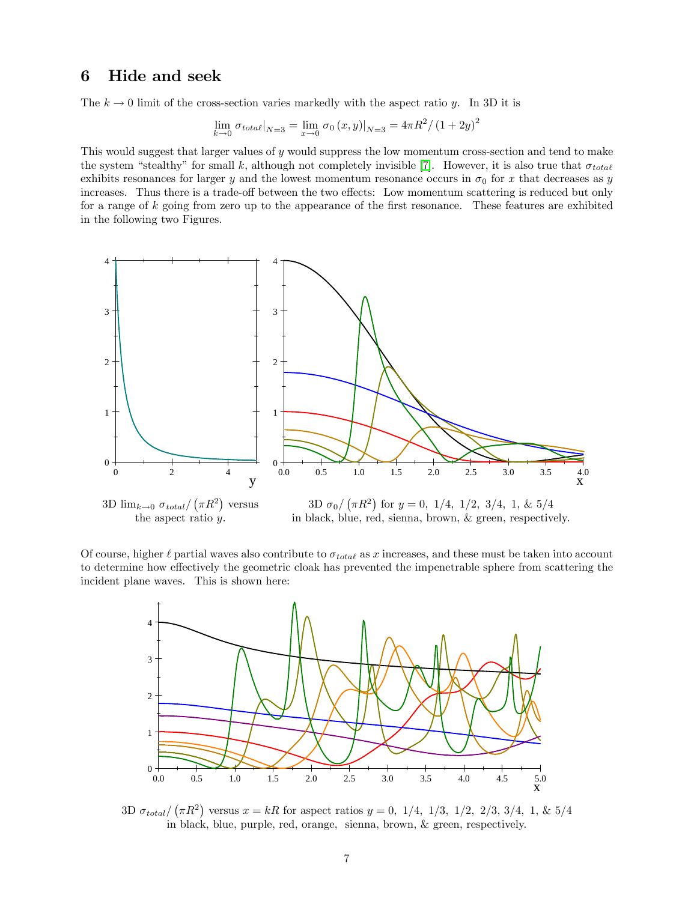### <span id="page-6-0"></span>6 Hide and seek

The  $k \to 0$  limit of the cross-section varies markedly with the aspect ratio y. In 3D it is

$$
\lim_{k \to 0} \sigma_{total}|_{N=3} = \lim_{x \to 0} \sigma_0(x, y)|_{N=3} = 4\pi R^2 / (1 + 2y)^2
$$

This would suggest that larger values of y would suppress the low momentum cross-section and tend to make the system "stealthy" for small k, although not completely invisible [\[7\]](#page-9-6). However, it is also true that  $\sigma_{total}$ exhibits resonances for larger y and the lowest momentum resonance occurs in  $\sigma_0$  for x that decreases as y increases. Thus there is a trade-off between the two effects: Low momentum scattering is reduced but only for a range of  $k$  going from zero up to the appearance of the first resonance. These features are exhibited in the following two Figures.



Of course, higher  $\ell$  partial waves also contribute to  $\sigma_{total}$  as x increases, and these must be taken into account to determine how effectively the geometric cloak has prevented the impenetrable sphere from scattering the incident plane waves. This is shown here:



3D  $\sigma_{total}/(\pi R^2)$  versus  $x = kR$  for aspect ratios  $y = 0$ , 1/4, 1/3, 1/2, 2/3, 3/4, 1, & 5/4 in black, blue, purple, red, orange, sienna, brown, & green, respectively.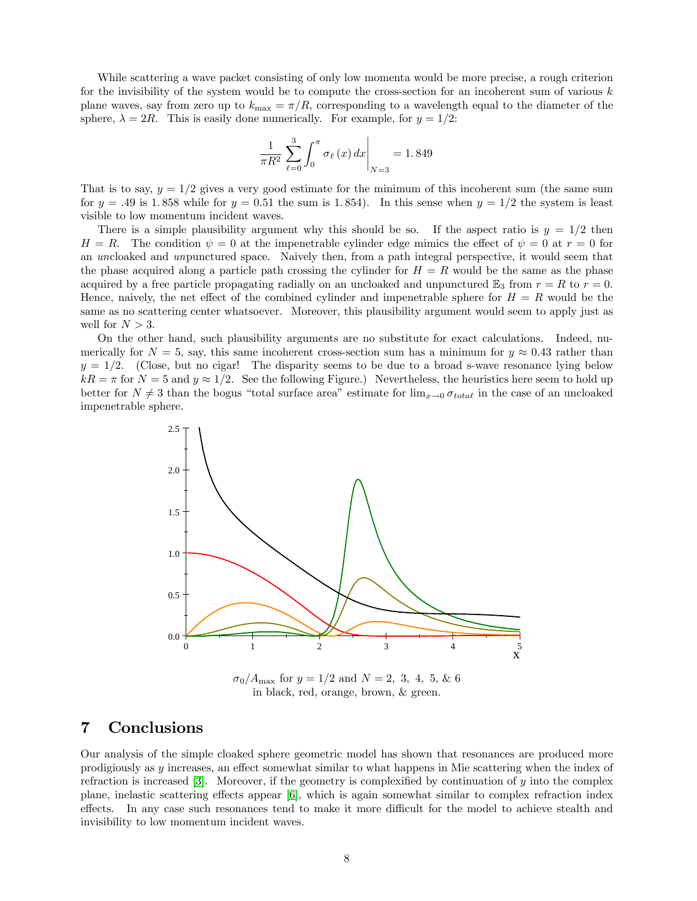While scattering a wave packet consisting of only low momenta would be more precise, a rough criterion for the invisibility of the system would be to compute the cross-section for an incoherent sum of various  $k$ plane waves, say from zero up to  $k_{\text{max}} = \pi/R$ , corresponding to a wavelength equal to the diameter of the sphere,  $\lambda = 2R$ . This is easily done numerically. For example, for  $y = 1/2$ :

$$
\frac{1}{\pi R^2} \sum_{\ell=0}^{3} \int_0^{\pi} \sigma_{\ell}(x) \, dx \bigg|_{N=3} = 1.849
$$

That is to say,  $y = 1/2$  gives a very good estimate for the minimum of this incoherent sum (the same sum for  $y = .49$  is 1.858 while for  $y = 0.51$  the sum is 1.854). In this sense when  $y = 1/2$  the system is least visible to low momentum incident waves.

There is a simple plausibility argument why this should be so. If the aspect ratio is  $y = 1/2$  then  $H = R$ . The condition  $\psi = 0$  at the impenetrable cylinder edge mimics the effect of  $\psi = 0$  at  $r = 0$  for an uncloaked and unpunctured space. Naively then, from a path integral perspective, it would seem that the phase acquired along a particle path crossing the cylinder for  $H = R$  would be the same as the phase acquired by a free particle propagating radially on an uncloaked and unpunctured  $\mathbb{E}_3$  from  $r = R$  to  $r = 0$ . Hence, naively, the net effect of the combined cylinder and impenetrable sphere for  $H = R$  would be the same as no scattering center whatsoever. Moreover, this plausibility argument would seem to apply just as well for  $N > 3$ .

On the other hand, such plausibility arguments are no substitute for exact calculations. Indeed, numerically for  $N = 5$ , say, this same incoherent cross-section sum has a minimum for  $y \approx 0.43$  rather than  $y = 1/2$ . (Close, but no cigar! The disparity seems to be due to a broad s-wave resonance lying below  $kR = \pi$  for  $N = 5$  and  $y \approx 1/2$ . See the following Figure.) Nevertheless, the heuristics here seem to hold up better for  $N \neq 3$  than the bogus "total surface area" estimate for  $\lim_{x\to 0} \sigma_{total}$  in the case of an uncloaked impenetrable sphere.



<span id="page-7-0"></span>7 Conclusions

Our analysis of the simple cloaked sphere geometric model has shown that resonances are produced more prodigiously as y increases, an effect somewhat similar to what happens in Mie scattering when the index of refraction is increased [\[3\]](#page-9-2). Moreover, if the geometry is complexified by continuation of  $y$  into the complex plane, inelastic scattering effects appear  $[6]$ , which is again somewhat similar to complex refraction index effects. In any case such resonances tend to make it more difficult for the model to achieve stealth and invisibility to low momentum incident waves.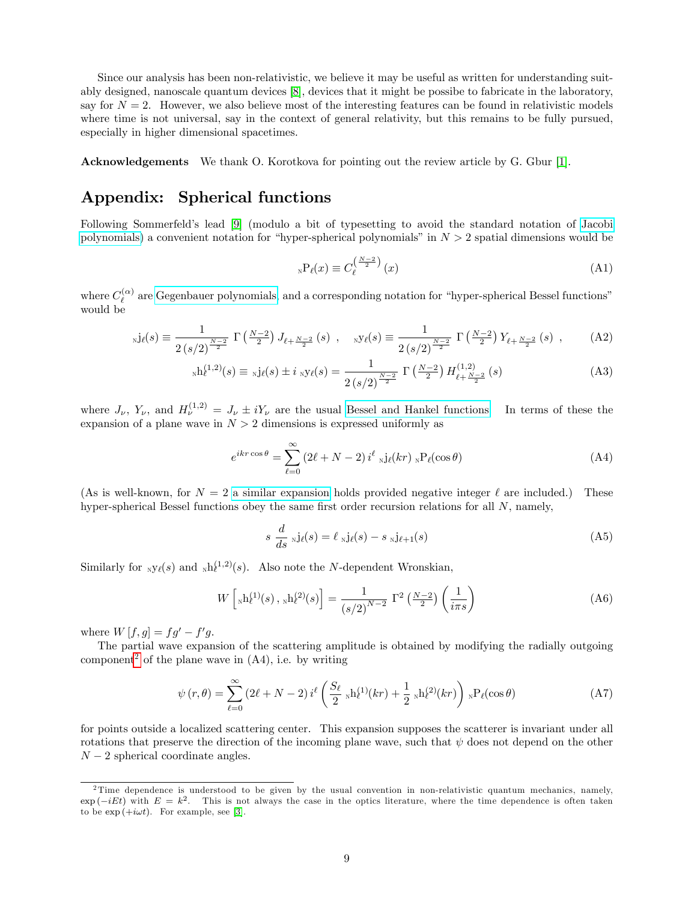Since our analysis has been non-relativistic, we believe it may be useful as written for understanding suitably designed, nanoscale quantum devices [\[8\]](#page-9-7), devices that it might be possibe to fabricate in the laboratory, say for  $N = 2$ . However, we also believe most of the interesting features can be found in relativistic models where time is not universal, say in the context of general relativity, but this remains to be fully pursued, especially in higher dimensional spacetimes.

Acknowledgements We thank O. Korotkova for pointing out the review article by G. Gbur [\[1\]](#page-9-0).

## Appendix: Spherical functions

Following Sommerfeld's lead [\[9\]](#page-9-8) (modulo a bit of typesetting to avoid the standard notation of [Jacobi](https://en.wikipedia.org/wiki/Jacobi_polynomials) [polynomials\)](https://en.wikipedia.org/wiki/Jacobi_polynomials) a convenient notation for "hyper-spherical polynomials" in  $N > 2$  spatial dimensions would be

$$
{}_{N}P_{\ell}(x) \equiv C_{\ell}^{\left(\frac{N-2}{2}\right)}(x)
$$
\n(A1)

where  $C_{\ell}^{(\alpha)}$  $\ell^{\alpha}$  are [Gegenbauer polynomials,](https://en.wikipedia.org/wiki/Gegenbauer_polynomials) and a corresponding notation for "hyper-spherical Bessel functions" would be

$$
_{N}j_{\ell}(s) \equiv \frac{1}{2\left(s/2\right)^{\frac{N-2}{2}}} \Gamma\left(\frac{N-2}{2}\right) J_{\ell+\frac{N-2}{2}}(s) , \quad _{N}y_{\ell}(s) \equiv \frac{1}{2\left(s/2\right)^{\frac{N-2}{2}}} \Gamma\left(\frac{N-2}{2}\right) Y_{\ell+\frac{N-2}{2}}(s) , \quad (A2)
$$

$$
{}_{N}h_{\ell}^{(1,2)}(s) \equiv {}_{N}j_{\ell}(s) \pm i{}_{N}\mathbf{y}_{\ell}(s) = \frac{1}{2\left(s/2\right)^{\frac{N-2}{2}}} \Gamma\left(\frac{N-2}{2}\right) H_{\ell+\frac{N-2}{2}}^{(1,2)}(s)
$$
(A3)

where  $J_{\nu}$ ,  $Y_{\nu}$ , and  $H_{\nu}^{(1,2)} = J_{\nu} \pm iY_{\nu}$  are the usual [Bessel and Hankel functions.](https://en.wikipedia.org/wiki/Bessel_function) In terms of these the expansion of a plane wave in  $N > 2$  dimensions is expressed uniformly as

$$
e^{ikr\cos\theta} = \sum_{\ell=0}^{\infty} \left(2\ell + N - 2\right) i^{\ell} {}_{\mathcal{N}} j_{\ell}(kr) {}_{\mathcal{N}} P_{\ell}(\cos\theta)
$$
 (A4)

(As is well-known, for  $N = 2$  [a similar expansion](https://en.wikipedia.org/wiki/Jacobi-Anger_expansion) holds provided negative integer  $\ell$  are included.) These hyper-spherical Bessel functions obey the same first order recursion relations for all  $N$ , namely,

$$
s \frac{d}{ds} \mathrm{N} \mathrm{j}_{\ell}(s) = \ell \mathrm{N} \mathrm{j}_{\ell}(s) - s \mathrm{N} \mathrm{j}_{\ell+1}(s) \tag{A5}
$$

Similarly for  $_N y_\ell(s)$  and  $_N h_\ell^{(1,2)}(s)$ . Also note the N-dependent Wronskian,

$$
W\left[{}_{\rm N}h^{(1)}(s)\,,{}_{\rm N}h^{(2)}(s)\right] = \frac{1}{(s/2)^{N-2}}\,\,\Gamma^2\left(\frac{N-2}{2}\right)\left(\frac{1}{i\pi s}\right) \tag{A6}
$$

where  $W[f, g] = fg' - f'g$ .

The partial wave expansion of the scattering amplitude is obtained by modifying the radially outgoing component<sup>[2](#page-8-0)</sup> of the plane wave in  $(A4)$ , i.e. by writing

$$
\psi(r,\theta) = \sum_{\ell=0}^{\infty} \left(2\ell + N - 2\right) i^{\ell} \left(\frac{S_{\ell}}{2} {}_{N}h_{\ell}^{(1)}(kr) + \frac{1}{2} {}_{N}h_{\ell}^{(2)}(kr)\right) {}_{N}P_{\ell}(\cos\theta) \tag{A7}
$$

for points outside a localized scattering center. This expansion supposes the scatterer is invariant under all rotations that preserve the direction of the incoming plane wave, such that  $\psi$  does not depend on the other  $N-2$  spherical coordinate angles.

<span id="page-8-0"></span><sup>&</sup>lt;sup>2</sup>Time dependence is understood to be given by the usual convention in non-relativistic quantum mechanics, namely,  $\exp(-iEt)$  with  $E = k^2$ . This is not always the case in the optics literature, where the time dependence is often taken to be  $\exp{(+i\omega t)}$ . For example, see [\[3\]](#page-9-2).